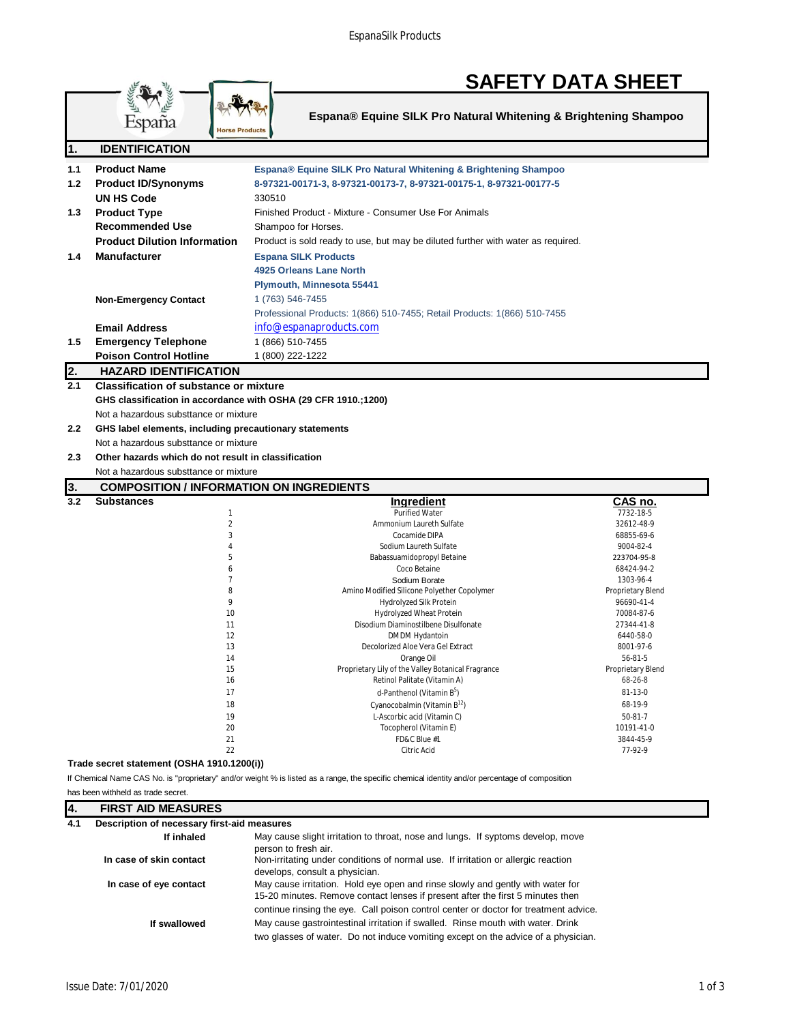|--|

| Espana® Equine SILK Pro Natural Whitening & Brightening Shampoo |  |  |
|-----------------------------------------------------------------|--|--|
|                                                                 |  |  |

| $\overline{\mathbf{1}}$ | <b>IDENTIFICATION</b>                                          |                                                                                                                                                 |                           |
|-------------------------|----------------------------------------------------------------|-------------------------------------------------------------------------------------------------------------------------------------------------|---------------------------|
| 1.1                     | <b>Product Name</b>                                            | Espana® Equine SILK Pro Natural Whitening & Brightening Shampoo                                                                                 |                           |
| 1.2                     | <b>Product ID/Synonyms</b>                                     | 8-97321-00171-3, 8-97321-00173-7, 8-97321-00175-1, 8-97321-00177-5                                                                              |                           |
|                         | <b>UN HS Code</b>                                              | 330510                                                                                                                                          |                           |
| 1.3                     | <b>Product Type</b>                                            | Finished Product - Mixture - Consumer Use For Animals                                                                                           |                           |
|                         | <b>Recommended Use</b>                                         | Shampoo for Horses.                                                                                                                             |                           |
|                         | <b>Product Dilution Information</b>                            | Product is sold ready to use, but may be diluted further with water as required.                                                                |                           |
|                         |                                                                |                                                                                                                                                 |                           |
| 1.4                     | <b>Manufacturer</b>                                            | <b>Espana SILK Products</b>                                                                                                                     |                           |
|                         |                                                                | 4925 Orleans Lane North                                                                                                                         |                           |
|                         |                                                                | Plymouth, Minnesota 55441                                                                                                                       |                           |
|                         | <b>Non-Emergency Contact</b>                                   | 1 (763) 546-7455                                                                                                                                |                           |
|                         |                                                                | Professional Products: 1(866) 510-7455; Retail Products: 1(866) 510-7455                                                                        |                           |
|                         | <b>Email Address</b>                                           | info@espanaproducts.com                                                                                                                         |                           |
| 1.5                     | <b>Emergency Telephone</b>                                     | 1 (866) 510-7455                                                                                                                                |                           |
|                         | <b>Poison Control Hotline</b>                                  | 1 (800) 222-1222                                                                                                                                |                           |
| 2.                      | <b>HAZARD IDENTIFICATION</b>                                   |                                                                                                                                                 |                           |
| 2.1                     | <b>Classification of substance or mixture</b>                  |                                                                                                                                                 |                           |
|                         | GHS classification in accordance with OSHA (29 CFR 1910.;1200) |                                                                                                                                                 |                           |
|                         | Not a hazardous substtance or mixture                          |                                                                                                                                                 |                           |
| $2.2^{\circ}$           | GHS label elements, including precautionary statements         |                                                                                                                                                 |                           |
|                         | Not a hazardous substtance or mixture                          |                                                                                                                                                 |                           |
| 2.3                     | Other hazards which do not result in classification            |                                                                                                                                                 |                           |
|                         | Not a hazardous substtance or mixture                          |                                                                                                                                                 |                           |
| 3.                      | <b>COMPOSITION / INFORMATION ON INGREDIENTS</b>                |                                                                                                                                                 |                           |
| 3.2                     | <b>Substances</b>                                              | Ingredient                                                                                                                                      | CAS no.                   |
|                         | $\mathbf{1}$                                                   | <b>Purified Water</b>                                                                                                                           | 7732-18-5                 |
|                         | $\overline{2}$                                                 | Ammonium Laureth Sulfate                                                                                                                        | 32612-48-9                |
|                         | 3                                                              | Cocamide DIPA                                                                                                                                   | 68855-69-6                |
|                         | $\overline{4}$                                                 | Sodium Laureth Sulfate                                                                                                                          | 9004-82-4                 |
|                         | 5<br>6                                                         | Babassuamidopropyl Betaine<br>Coco Betaine                                                                                                      | 223704-95-8<br>68424-94-2 |
|                         | $\overline{7}$                                                 | Sodium Borate                                                                                                                                   | 1303-96-4                 |
|                         | 8                                                              | Amino Modified Silicone Polyether Copolymer                                                                                                     | Proprietary Blend         |
|                         | 9                                                              | Hydrolyzed Silk Protein                                                                                                                         | 96690-41-4                |
|                         | 10                                                             | Hydrolyzed Wheat Protein                                                                                                                        | 70084-87-6                |
|                         | 11<br>12                                                       | Disodium Diaminostilbene Disulfonate<br>DMDM Hydantoin                                                                                          | 27344-41-8<br>6440-58-0   |
|                         | 13                                                             | Decolorized Aloe Vera Gel Extract                                                                                                               | 8001-97-6                 |
|                         | 14                                                             | Orange Oil                                                                                                                                      | 56-81-5                   |
|                         | 15                                                             | Proprietary Lily of the Valley Botanical Fragrance                                                                                              | Proprietary Blend         |
|                         | 16                                                             | Retinol Palitate (Vitamin A)                                                                                                                    | 68-26-8                   |
|                         | 17                                                             | d-Panthenol (Vitamin B <sup>b</sup> )                                                                                                           | 81-13-0                   |
|                         | 18                                                             | Cyanocobalmin (Vitamin B <sup>12</sup> )                                                                                                        | 68-19-9                   |
|                         | 19                                                             | L-Ascorbic acid (Vitamin C)                                                                                                                     | $50 - 81 - 7$             |
|                         | 20                                                             | Tocopherol (Vitamin E)<br>FD&C Blue #1                                                                                                          | 10191-41-0<br>3844-45-9   |
|                         |                                                                |                                                                                                                                                 |                           |
|                         | 21<br>22                                                       | Citric Acid                                                                                                                                     |                           |
|                         |                                                                |                                                                                                                                                 | 77-92-9                   |
|                         | Trade secret statement (OSHA 1910.1200(i))                     | If Chemical Name CAS No. is "proprietary" and/or weight % is listed as a range, the specific chemical identity and/or percentage of composition |                           |

has been withheld as trade secret.

España

lucts

| 14. | <b>FIRST AID MEASURES</b>                   |                                                                                                                                                                                                                                                          |  |
|-----|---------------------------------------------|----------------------------------------------------------------------------------------------------------------------------------------------------------------------------------------------------------------------------------------------------------|--|
| 4.1 | Description of necessary first-aid measures |                                                                                                                                                                                                                                                          |  |
|     | If inhaled                                  | May cause slight irritation to throat, nose and lungs. If syptoms develop, move<br>person to fresh air.                                                                                                                                                  |  |
|     | In case of skin contact                     | Non-irritating under conditions of normal use. If irritation or allergic reaction<br>develops, consult a physician.                                                                                                                                      |  |
|     | In case of eye contact                      | May cause irritation. Hold eye open and rinse slowly and gently with water for<br>15-20 minutes. Remove contact lenses if present after the first 5 minutes then<br>continue rinsing the eye. Call poison control center or doctor for treatment advice. |  |
|     | If swallowed                                | May cause gastrointestinal irritation if swalled. Rinse mouth with water. Drink<br>two glasses of water. Do not induce vomiting except on the advice of a physician.                                                                                     |  |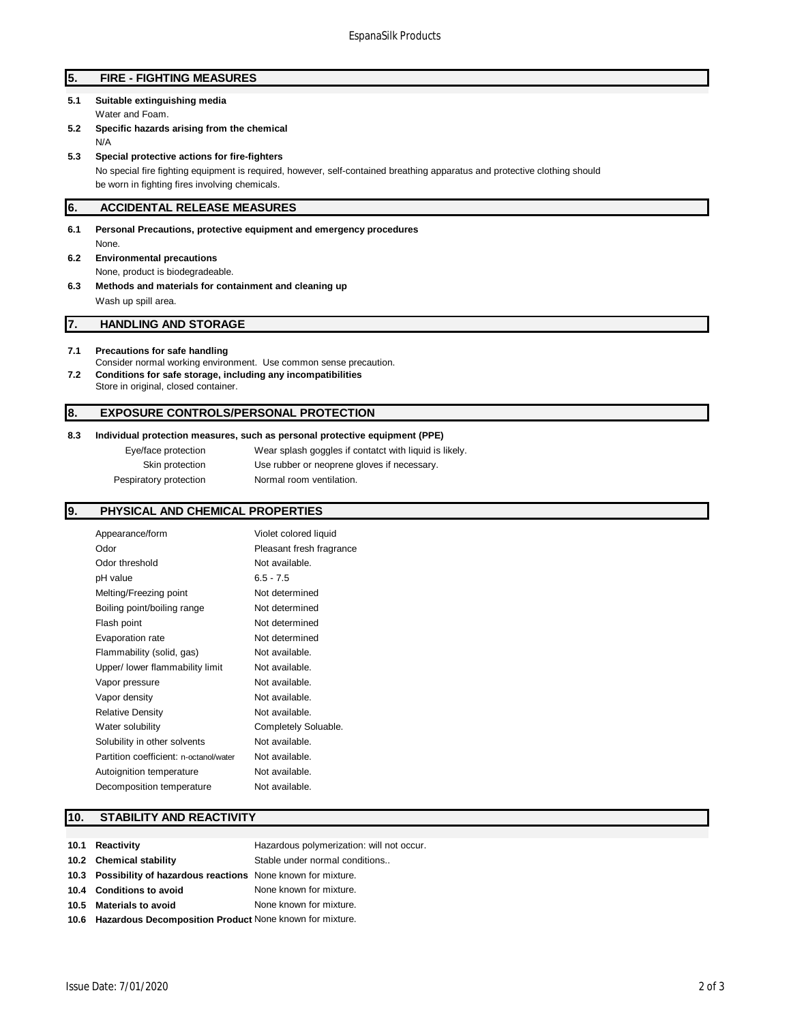## **5. FIRE - FIGHTING MEASURES**

- **5.1 Suitable extinguishing media** Water and Foam.
- **5.2 Specific hazards arising from the chemical** N/A
- **5.3 Special protective actions for fire-fighters**

No special fire fighting equipment is required, however, self-contained breathing apparatus and protective clothing should be worn in fighting fires involving chemicals.

### **6. ACCIDENTAL RELEASE MEASURES**

- **6.1 Personal Precautions, protective equipment and emergency procedures** None.
- **6.2 Environmental precautions** None, product is biodegradeable.
- **6.3 Methods and materials for containment and cleaning up** Wash up spill area.

## **7. HANDLING AND STORAGE**

### **7.1 Precautions for safe handling**

- Consider normal working environment. Use common sense precaution. **7.2 Conditions for safe storage, including any incompatibilities**
- Store in original, closed container.

## **8. EXPOSURE CONTROLS/PERSONAL PROTECTION**

#### **8.3 Individual protection measures, such as personal protective equipment (PPE)**

Eye/face protection Wear splash goggles if contatct with liquid is likely. Skin protection Use rubber or neoprene gloves if necessary. Pespiratory protection Normal room ventilation.

## **9. PHYSICAL AND CHEMICAL PROPERTIES**

| Violet colored liquid    |
|--------------------------|
| Pleasant fresh fragrance |
| Not available.           |
| $6.5 - 7.5$              |
| Not determined           |
| Not determined           |
| Not determined           |
| Not determined           |
| Not available.           |
| Not available.           |
| Not available.           |
| Not available.           |
| Not available.           |
| Completely Soluable.     |
| Not available.           |
| Not available.           |
| Not available.           |
| Not available.           |
|                          |

## **10. STABILITY AND REACTIVITY**

| 10.1 Reactivity                                                 | Hazardous polymerization: will not occur. |
|-----------------------------------------------------------------|-------------------------------------------|
| 10.2 Chemical stability                                         | Stable under normal conditions            |
| 10.3 Possibility of hazardous reactions None known for mixture. |                                           |
| 10.4 Conditions to avoid                                        | None known for mixture.                   |
| 10.5 Materials to avoid                                         | None known for mixture.                   |
| 10.6 Hazardous Decomposition Product None known for mixture.    |                                           |